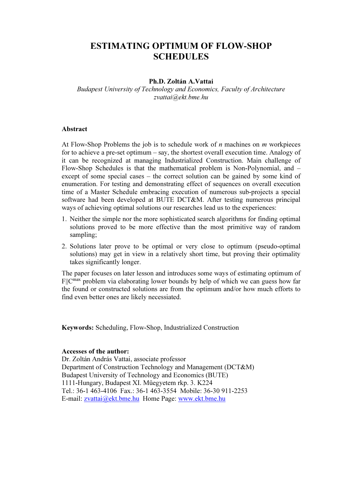# ESTIMATING OPTIMUM OF FLOW-SHOP **SCHEDULES**

### Ph.D. Zoltán A.Vattai

Budapest University of Technology and Economics, Faculty of Architecture zvattai@ekt.bme.hu

#### Abstract

At Flow-Shop Problems the job is to schedule work of  $n$  machines on  $m$  workpieces for to achieve a pre-set optimum – say, the shortest overall execution time. Analogy of it can be recognized at managing Industrialized Construction. Main challenge of Flow-Shop Schedules is that the mathematical problem is Non-Polynomial, and – except of some special cases – the correct solution can be gained by some kind of enumeration. For testing and demonstrating effect of sequences on overall execution time of a Master Schedule embracing execution of numerous sub-projects a special software had been developed at BUTE DCT&M. After testing numerous principal ways of achieving optimal solutions our researches lead us to the experiences:

- 1. Neither the simple nor the more sophisticated search algorithms for finding optimal solutions proved to be more effective than the most primitive way of random sampling;
- 2. Solutions later prove to be optimal or very close to optimum (pseudo-optimal solutions) may get in view in a relatively short time, but proving their optimality takes significantly longer.

The paper focuses on later lesson and introduces some ways of estimating optimum of F||C<sup>max</sup> problem via elaborating lower bounds by help of which we can guess how far the found or constructed solutions are from the optimum and/or how much efforts to find even better ones are likely necessiated.

Keywords: Scheduling, Flow-Shop, Industrialized Construction

#### Accesses of the author:

Dr. Zoltán András Vattai, associate professor Department of Construction Technology and Management (DCT&M) Budapest University of Technology and Economics (BUTE) 1111-Hungary, Budapest XI. Műegyetem rkp. 3. K224 Tel.: 36-1 463-4106 Fax.: 36-1 463-3554 Mobile: 36-30 911-2253 E-mail: zvattai@ekt.bme.hu Home Page: www.ekt.bme.hu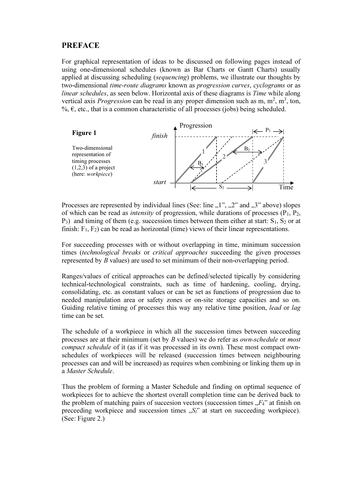### PREFACE

For graphical representation of ideas to be discussed on following pages instead of using one-dimensional schedules (known as Bar Charts or Gantt Charts) usually applied at discussing scheduling (sequencing) problems, we illustrate our thoughts by two-dimensional time-route diagrams known as progression curves, cyclograms or as linear schedules, as seen below. Horizontal axis of these diagrams is Time while along vertical axis *Progression* can be read in any proper dimension such as m,  $m^2$ ,  $m^3$ , ton, %,  $\epsilon$ , etc., that is a common characteristic of all processes (jobs) being scheduled.



Processes are represented by individual lines (See: line  $,1$ ",  $,2$ " and  $,3$ " above) slopes of which can be read as *intensity* of progression, while durations of processes  $(P_1, P_2, P_3)$  $P_3$ ) and timing of them (e.g. succession times between them either at start:  $S_1$ ,  $S_2$  or at finish:  $F_1$ ,  $F_2$ ) can be read as horizontal (time) views of their linear representations.

For succeeding processes with or without overlapping in time, minimum succession times (technological breaks or critical approaches succeeding the given processes represented by B values) are used to set minimum of their non-overlapping period.

Ranges/values of critical approaches can be defined/selected tipically by considering technical-technological constraints, such as time of hardening, cooling, drying, consolidating, etc. as constant values or can be set as functions of progression due to needed manipulation area or safety zones or on-site storage capacities and so on. Guiding relative timing of processes this way any relative time position, *lead* or *lag* time can be set.

The schedule of a workpiece in which all the succession times between succeeding processes are at their minimum (set by B values) we do refer as own-schedule or most compact schedule of it (as if it was processed in its own). These most compact ownschedules of workpieces will be released (succession times between neighbouring processes can and will be increased) as requires when combining or linking them up in a Master Schedule.

Thus the problem of forming a Master Schedule and finding on optimal sequence of workpieces for to achieve the shortest overall completion time can be derived back to the problem of matching pairs of succession vectors (succession times  $F_k$ " at finish on preceeding workpiece and succession times  $, S_l$ " at start on succeeding workpiece). (See: Figure 2.)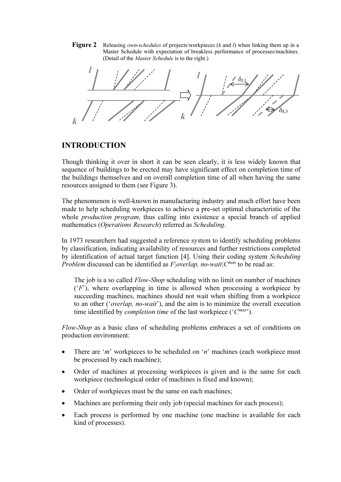**Figure 2** Releasing *own-schedules* of projects/workpieces (k and l) when linking them up in a Master Schedule with expectation of breakless performance of processes/machines. (Detail of the Master Schedule is to the right.)



## INTRODUCTION

Though thinking it over in short it can be seen clearly, it is less widely known that sequence of buildings to be erected may have significant effect on completion time of the buildings themselves and on overall completion time of all when having the same resources assigned to them (see Figure 3).

The phenomenon is well-known in manufacturing industry and much effort have been made to help scheduling workpieces to achieve a pre-set optimal characteristic of the whole *production program*, thus calling into existence a special branch of applied mathematics (Operations Research) referred as Scheduling.

In 1973 researchers had suggested a reference system to identify scheduling problems by classification, indicating availability of resources and further restrictions completed by identification of actual target function [4]. Using their coding system Scheduling *Problem* discussed can be identified as  $F|overlap$ , no-wait $|C^{max}$  to be read as:

The job is a so called *Flow-Shop* scheduling with no limit on number of machines  $(F)$ , where overlapping in time is allowed when processing a workpiece by succeeding machines, machines should not wait when shifting from a workpiece to an other ('overlap, no-wait'), and the aim is to minimize the overall execution time identified by *completion time* of the last workpiece ( ${}^{\circ}C^{max}$ ).

Flow-Shop as a basic class of scheduling problems embraces a set of conditions on production environment:

- There are 'm' workpieces to be scheduled on 'n' machines (each workpiece must be processed by each machine);
- Order of machines at processing workpieces is given and is the same for each workpiece (technological order of machines is fixed and known);
- Order of workpieces must be the same on each machines;
- Machines are performing their only job (special machines for each process);
- Each process is performed by one machine (one machine is available for each kind of processes).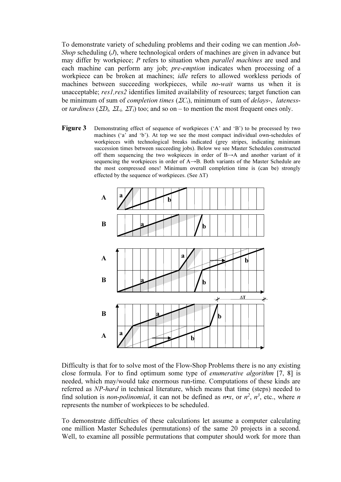To demonstrate variety of scheduling problems and their coding we can mention Job-Shop scheduling  $(J)$ , where technological orders of machines are given in advance but may differ by workpiece; P refers to situation when *parallel machines* are used and each machine can perform any job; *pre-emption* indicates when processing of a workpiece can be broken at machines; idle refers to allowed workless periods of machines between succeeding workpieces, while *no-wait* warns us when it is unacceptable; res1, res2 identifies limited availability of resources; target function can be minimum of sum of *completion times* ( $\Sigma C_i$ ), minimum of sum of *delays-*, *lateness*or tardiness ( $\Sigma D_i$ ,  $\Sigma L_i$ ,  $\Sigma T_i$ ) too; and so on – to mention the most frequent ones only.

Figure 3 Demonstrating effect of sequence of workpieces ('A' and 'B') to be processed by two machines ( $a^{\dagger}$  and  $b^{\dagger}$ ). At top we see the most compact individual own-schedules of workpieces with technological breaks indicated (grey stripes, indicating minimum succession times between succeeding jobs). Below we see Master Schedules constructed off them sequencing the two wokpieces in order of B→A and another variant of it sequencing the workpieces in order of A→B. Both variants of the Master Schedule are the most compressed ones! Minimum overall completion time is (can be) strongly effected by the sequence of workpieces. (See  $\Delta T$ )



Difficulty is that for to solve most of the Flow-Shop Problems there is no any existing close formula. For to find optimum some type of enumerative algorithm [7, 8] is needed, which may/would take enormous run-time. Computations of these kinds are referred as NP-hard in technical literature, which means that time (steps) needed to find solution is *non-polinomial*, it can not be defined as *n*•*x*, or  $n^2$ ,  $n^3$ , etc., where *n* represents the number of workpieces to be scheduled.

To demonstrate difficulties of these calculations let assume a computer calculating one million Master Schedules (permutations) of the same 20 projects in a second. Well, to examine all possible permutations that computer should work for more than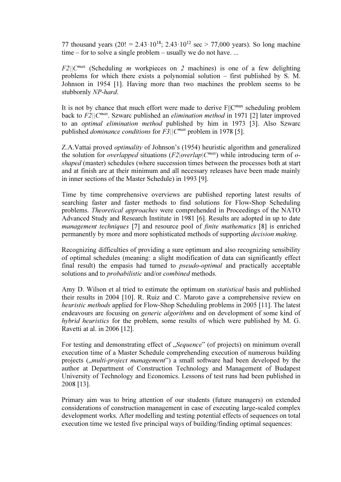77 thousand years (20! = 2.43·10<sup>18</sup>; 2.43·10<sup>12</sup> sec > 77,000 years). So long machine time – for to solve a single problem – usually we do not have. ...

 $F2||C^{max}$  (Scheduling *m* workpieces on 2 machines) is one of a few delighting problems for which there exists a polynomial solution – first published by S. M. Johnson in 1954 [1]. Having more than two machines the problem seems to be stubbornly NP-hard.

It is not by chance that much effort were made to derive  $F||C^{max}$  scheduling problem back to  $F2||C^{max}$ . Szwarc published an *elimination method* in 1971 [2] later improved to an optimal elimination method published by him in 1973 [3]. Also Szwarc published *dominance conditions* for  $F3||C^{max}$  problem in 1978 [5].

Z.A.Vattai proved optimality of Johnson's (1954) heuristic algorithm and generalized the solution for *overlapped* situations  $(F2|overlap|C^{max})$  while introducing term of *o*shaped (master) schedules (where succession times between the processes both at start and at finish are at their minimum and all necessary releases have been made mainly in inner sections of the Master Schedule) in 1993 [9].

Time by time comprehensive overviews are published reporting latest results of searching faster and faster methods to find solutions for Flow-Shop Scheduling problems. Theoretical approaches were comprehended in Proceedings of the NATO Advanced Study and Research Institute in 1981 [6]. Results are adopted in up to date management techniques [7] and resource pool of finite mathematics [8] is enriched permanently by more and more sophisticated methods of supporting decision making.

Recognizing difficulties of providing a sure optimum and also recognizing sensibility of optimal schedules (meaning: a slight modification of data can significantly effect final result) the empasis had turned to pseudo-optimal and practically acceptable solutions and to *probabilistic* and/or *combined* methods.

Amy D. Wilson et al tried to estimate the optimum on statistical basis and published their results in 2004 [10]. R. Ruiz and C. Maroto gave a comprehensive review on heuristic methods applied for Flow-Shop Scheduling problems in 2005 [11]. The latest endeavours are focusing on generic algorithms and on development of some kind of hybrid heuristics for the problem, some results of which were published by M. G. Ravetti at al. in 2006 [12].

For testing and demonstrating effect of "Sequence" (of projects) on minimum overall execution time of a Master Schedule comprehending execution of numerous building projects ("*multi-project management*") a small software had been developed by the author at Department of Construction Technology and Management of Budapest University of Technology and Economics. Lessons of test runs had been published in 2008 [13].

Primary aim was to bring attention of our students (future managers) on extended considerations of construction management in case of executing large-scaled complex development works. After modelling and testing potential effects of sequences on total execution time we tested five principal ways of building/finding optimal sequences: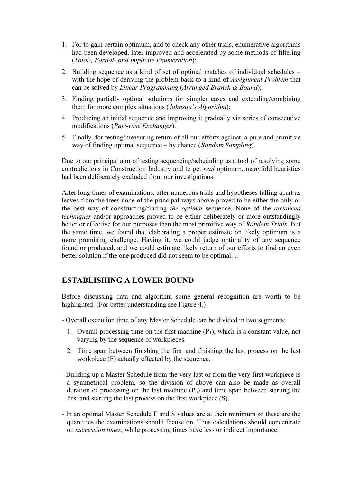- 1. For to gain certain optimum, and to check any other trials, enumerative algorithms had been developed, later improved and accelerated by some methods of filtering (Total-, Partial- and Implicite Enumeration);
- 2. Building sequence as a kind of set of optimal matches of individual schedules with the hope of deriving the problem back to a kind of *Assignment Problem* that can be solved by Linear Programming (Arranged Branch & Bound);
- 3. Finding partially optimal solutions for simpler cases and extending/combining them for more complex situations (*Johnson's Algorithm*);
- 4. Producing an initial sequence and improving it gradually via series of consecutive modifications (Pair-wise Exchanges).
- 5. Finally, for testing/measuring return of all our efforts against, a pure and primitive way of finding optimal sequence – by chance (Random Sampling).

Due to our principal aim of testing sequencing/scheduling as a tool of resolving some contradictions in Construction Industry and to get real optimum, manyfold heuristics had been deliberately excluded from our investigations.

After long times of examinations, after numerous trials and hypotheses falling apart as leaves from the trees none of the principal ways above proved to be either the only or the best way of constructing/finding the optimal sequence. None of the advanced techniques and/or approaches proved to be either deliberately or more outstandingly better or effective for our purposes than the most primitive way of Random Trials. But the same time, we found that elaborating a proper estimate on likely optimum is a more promising challenge. Having it, we could judge optimality of any sequence found or produced, and we could estimate likely return of our efforts to find an even better solution if the one produced did not seem to be optimal. ...

## ESTABLISHING A LOWER BOUND

Before discussing data and algorithm some general recognition are worth to be highlighted. (For better understanding see Figure 4.)

- Overall execution time of any Master Schedule can be divided in two segments:
	- 1. Overall processing time on the first machine  $(P_1)$ , which is a constant value, not varying by the sequence of workpieces.
	- 2. Time span between finishing the first and finishing the last process on the last workpiece (F) actually effected by the sequence.
- Building up a Master Schedule from the very last or from the very first workpiece is a symmetrical problem, so the division of above can also be made as overall duration of processing on the last machine  $(P_n)$  and time span between starting the first and starting the last process on the first workpiece (S).
- In an optimal Master Schedule F and S values are at their minimum so these are the quantities the examinations should focuse on. Thus calculations should concentrate on succession times, while processing times have less or indirect importance.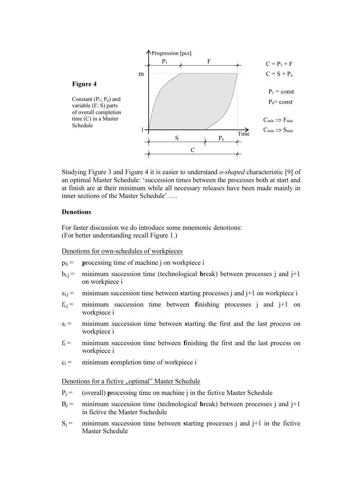

Studying Figure 3 and Figure 4 it is easier to understand *o-shaped* characteristic [9] of an optimal Master Schedule: 'succession times between the processes both at start and at finish are at their minimum while all necessary releases have been made mainly in inner sections of the Master Schedule'. …

### **Denotions**

For faster discussion we do introduce some mnemonic denotions: (For better understanding recall Figure 1.)

#### Denotions for own-schedules of workpieces

- $p_{ij}$  = processing time of machine j on workpiece i
- $b_{i,j}$  = minimum succession time (technological break) between processes j and j+1 on workpiece i
- $s_{i,j}$  = minimum succession time between starting processes j and j+1 on workpiece i
- $f_{i,j}$  = minimum succession time between finishing processes j and j+1 on workpiece i
- $s_i$  = minimum succession time between starting the first and the last process on workpiece i
- $f_i$  = minimum succession time between finishing the first and the last process on workpiece i
- $c_i$  = minimum completion time of workpiece i

#### Denotions for a fictive "optimal" Master Schedule

- $P_i$  = (overall) processing time on machine j in the fictive Master Schedule
- $B_i$  = minimum succession time (technological break) between processes j and j+1 in fictive the Master Sschedule
- $S_i$  = minimum succession time between starting processes j and j+1 in the fictive Master Schedule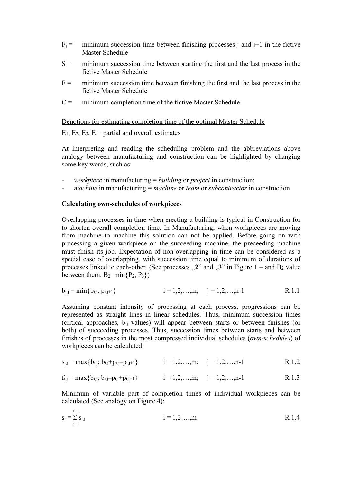- $F_i$  = minimum succession time between finishing processes j and j+1 in the fictive Master Schedule
- $S =$  minimum succession time between starting the first and the last process in the fictive Master Schedule
- $F =$  minimum succession time between finishing the first and the last process in the fictive Master Schedule
- $C =$  minimum completion time of the fictive Master Schedule

Denotions for estimating completion time of the optimal Master Schedule

 $E_1, E_2, E_3, E =$  partial and overall estimates

At interpreting and reading the scheduling problem and the abbreviations above analogy between manufacturing and construction can be highlighted by changing some key words, such as:

- *workpiece* in manufacturing  $=$  *building* or *project* in construction;
- machine in manufacturing  $=$  machine or team or subcontractor in construction

#### Calculating own-schedules of workpieces

Overlapping processes in time when erecting a building is typical in Construction for to shorten overall completion time. In Manufacturing, when workpieces are moving from machine to machine this solution can not be applied. Before going on with processing a given workpiece on the succeeding machine, the preceeding machine must finish its job. Expectation of non-overlapping in time can be considered as a special case of overlapping, with succession time equal to minimum of durations of processes linked to each-other. (See processes  $\mathbb{R}^2$  and  $\mathbb{R}^3$  in Figure 1 – and B<sub>2</sub> value between them.  $B_2 = min\{P_2, P_3\}$ 

$$
b_{i,j} = \min\{p_{i,j}; p_{i,j+1}\} \qquad i = 1, 2, ..., m; \quad j = 1, 2, ..., n-1 \qquad R \ 1.1
$$

Assuming constant intensity of processing at each process, progressions can be represented as straight lines in linear schedules. Thus, minimum succession times (critical approaches, bij values) will appear between starts or between finishes (or both) of succeeding processes. Thus, succession times between starts and between finishes of processes in the most compressed individual schedules (own-schedules) of workpieces can be calculated:

$$
s_{i,j} = max\{b_{i,j}; b_{i,j} + p_{i,j} - p_{i,j+1}\}
$$
  $i = 1, 2, ..., m; j = 1, 2, ..., n-1$  R 1.2

$$
f_{i,j} = max\{b_{i,j}; b_{i,j} - p_{i,j} + p_{i,j+1}\}
$$
  $i = 1, 2, ..., m; j = 1, 2, ..., n-1$  R 1.3

Minimum of variable part of completion times of individual workpieces can be calculated (See analogy on Figure 4):

$$
s_i = \sum_{j=1}^{n-1} s_{i,j} \qquad \qquad i = 1,2,...,m \qquad \qquad R \ 1.4
$$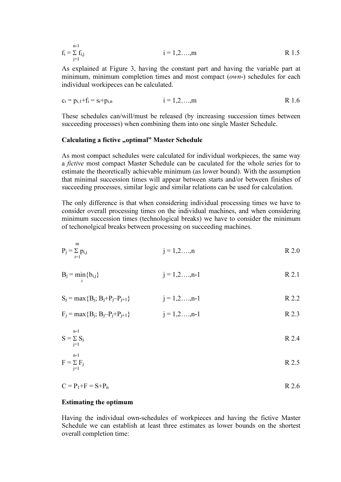$$
f_i = \sum_{j=1}^{n-1} f_{i,j} \qquad \qquad i = 1, 2, ..., m \qquad \qquad R \ 1.5
$$

As explained at Figure 3, having the constant part and having the variable part at minimum, minimum completion times and most compact (*own*-) schedules for each individual workipeces can be calculated.

$$
c_i = p_{i,1} + f_i = s_i + p_{i,n}
$$
   
  $i = 1,2,...,m$  R 1.6

These schedules can/will/must be released (by increasing succession times between succeeding processes) when combining them into one single Master Schedule.

#### Calculating a fictive "optimal" Master Schedule

As most compact schedules were calculated for individual workpieces, the same way a fictive most compact Master Schedule can be caculated for the whole series for to estimate the theoretically achievable minimum (as lower bound). With the assumption that minimal succession times will appear between starts and/or between finishes of succeeding processes, similar logic and similar relations can be used for calculation.

The only difference is that when considering individual processing times we have to consider overall processing times on the individual machines, and when considering minimum succession times (technological breaks) we have to consider the minimum of techonolgical breaks between processing on succeeding machines.

$$
P_j = \sum_{i=1}^{m} p_{i,j} \qquad j = 1,2,...,n \qquad R \ 2.0
$$

$$
B_j = \min_i \{b_{i,j}\}\qquad j = 1, 2, ..., n-1
$$
 R 2.1

 $S_i = max{B_i; B_i + P_i - P_{i+1}}$   $i = 1, 2, ..., n-1$  R 2.2

$$
F_j = max{B_j; B_j - P_j + P_{j+1}}
$$
  $j = 1, 2, ..., n-1$  R 2.3

$$
S = \sum_{j=1}^{n-1} S_j
$$
 R 2.4

$$
F = \sum_{j=1}^{n-1} F_j
$$
 R 2.5

$$
C = P_1 + F = S + P_n
$$
 R 2.6

#### Estimating the optimum

m

Having the individual own-schedules of workpieces and having the fictive Master Schedule we can establish at least three estimates as lower bounds on the shortest overall completion time: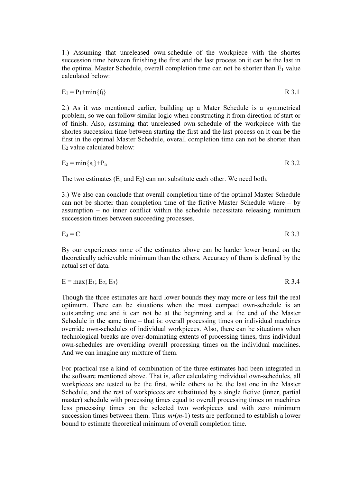1.) Assuming that unreleased own-schedule of the workpiece with the shortes succession time between finishing the first and the last process on it can be the last in the optimal Master Schedule, overall completion time can not be shorter than  $E_1$  value calculated below:

$$
E_1 = P_1 + min\{f_i\}
$$
 R 3.1

2.) As it was mentioned earlier, building up a Mater Schedule is a symmetrical problem, so we can follow similar logic when constructing it from direction of start or of finish. Also, assuming that unreleased own-schedule of the workpiece with the shortes succession time between starting the first and the last process on it can be the first in the optimal Master Schedule, overall completion time can not be shorter than E2 value calculated below:

$$
E_2 = min\{s_i\} + P_n
$$
 R 3.2

The two estimates  $(E_1 \text{ and } E_2)$  can not substitute each other. We need both.

3.) We also can conclude that overall completion time of the optimal Master Schedule can not be shorter than completion time of the fictive Master Schedule where – by assumption – no inner conflict within the schedule necessitate releasing minimum succession times between succeeding processes.

$$
E_3 = C \qquad R \ 3.3
$$

By our experiences none of the estimates above can be harder lower bound on the theoretically achievable minimum than the others. Accuracy of them is defined by the actual set of data.

$$
E = max{E1; E2; E3}
$$
 R 3.4

Though the three estimates are hard lower bounds they may more or less fail the real optimum. There can be situations when the most compact own-schedule is an outstanding one and it can not be at the beginning and at the end of the Master Schedule in the same time – that is: overall processing times on individual machines override own-schedules of individual workpieces. Also, there can be situations when technological breaks are over-dominating extents of processing times, thus individual own-schedules are overriding overall processing times on the individual machines. And we can imagine any mixture of them.

For practical use a kind of combination of the three estimates had been integrated in the software mentioned above. That is, after calculating individual own-schedules, all workpieces are tested to be the first, while others to be the last one in the Master Schedule, and the rest of workpieces are substituted by a single fictive (inner, partial master) schedule with processing times equal to overall processing times on machines less processing times on the selected two workpieces and with zero minimum succession times between them. Thus  $m*(m-1)$  tests are performed to establish a lower bound to estimate theoretical minimum of overall completion time.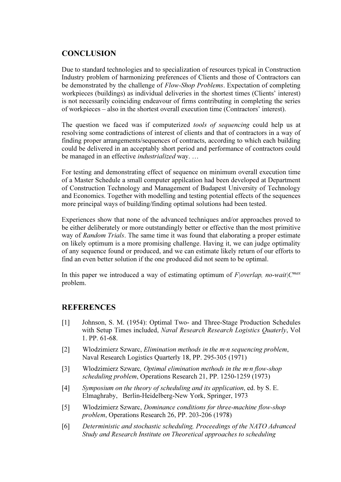# **CONCLUSION**

Due to standard technologies and to specialization of resources typical in Construction Industry problem of harmonizing preferences of Clients and those of Contractors can be demonstrated by the challenge of *Flow-Shop Problems*. Expectation of completing workpieces (buildings) as individual deliveries in the shortest times (Clients' interest) is not necessarily coinciding endeavour of firms contributing in completing the series of workpieces – also in the shortest overall execution time (Contractors' interest).

The question we faced was if computerized tools of sequencing could help us at resolving some contradictions of interest of clients and that of contractors in a way of finding proper arrangements/sequences of contracts, according to which each building could be delivered in an acceptably short period and performance of contractors could be managed in an effective *industrialized* way. ...

For testing and demonstrating effect of sequence on minimum overall execution time of a Master Schedule a small computer appilcation had been developed at Department of Construction Technology and Management of Budapest University of Technology and Economics. Together with modelling and testing potential effects of the sequences more principal ways of building/finding optimal solutions had been tested.

Experiences show that none of the advanced techniques and/or approaches proved to be either deliberately or more outstandingly better or effective than the most primitive way of Random Trials. The same time it was found that elaborating a proper estimate on likely optimum is a more promising challenge. Having it, we can judge optimality of any sequence found or produced, and we can estimate likely return of our efforts to find an even better solution if the one produced did not seem to be optimal.

In this paper we introduced a way of estimating optimum of  $F|overlap$ , no-wait $|C^{max}$ problem.

## **REFERENCES**

- [1] Johnson, S. M. (1954): Optimal Two- and Three-Stage Production Schedules with Setup Times included, Naval Research Research Logistics Quaterly, Vol 1. PP. 61-68.
- [2] Wlodzimierz Szwarc, Elimination methods in the m·n sequencing problem, Naval Research Logistics Quarterly 18, PP. 295-305 (1971)
- [3] Wlodzimierz Szwarc, Optimal elimination methods in the m·n flow-shop scheduling problem, Operations Research 21, PP. 1250-1259 (1973)
- [4] Symposium on the theory of scheduling and its application, ed. by S. E. Elmaghraby, Berlin-Heidelberg-New York, Springer, 1973
- [5] Wlodzimierz Szwarc, Dominance conditions for three-machine flow-shop problem, Operations Research 26, PP. 203-206 (1978)
- [6] Deterministic and stochastic scheduling, Proceedings of the NATO Advanced Study and Research Institute on Theoretical approaches to scheduling